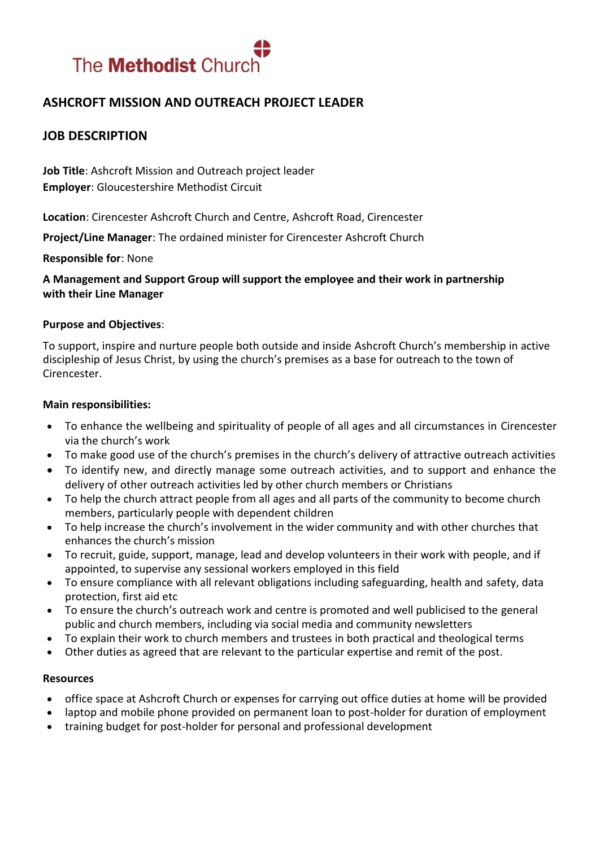

# **ASHCROFT MISSION AND OUTREACH PROJECT LEADER**

## **JOB DESCRIPTION**

**Job Title**: Ashcroft Mission and Outreach project leader **Employer**: Gloucestershire Methodist Circuit

**Location**: Cirencester Ashcroft Church and Centre, Ashcroft Road, Cirencester

**Project/Line Manager**: The ordained minister for Cirencester Ashcroft Church

**Responsible for**: None

**A Management and Support Group will support the employee and their work in partnership with their Line Manager**

#### **Purpose and Objectives**:

To support, inspire and nurture people both outside and inside Ashcroft Church's membership in active discipleship of Jesus Christ, by using the church's premises as a base for outreach to the town of Cirencester.

#### **Main responsibilities:**

- To enhance the wellbeing and spirituality of people of all ages and all circumstances in Cirencester via the church's work
- To make good use of the church's premises in the church's delivery of attractive outreach activities
- To identify new, and directly manage some outreach activities, and to support and enhance the delivery of other outreach activities led by other church members or Christians
- To help the church attract people from all ages and all parts of the community to become church members, particularly people with dependent children
- To help increase the church's involvement in the wider community and with other churches that enhances the church's mission
- To recruit, guide, support, manage, lead and develop volunteers in their work with people, and if appointed, to supervise any sessional workers employed in this field
- To ensure compliance with all relevant obligations including safeguarding, health and safety, data protection, first aid etc
- To ensure the church's outreach work and centre is promoted and well publicised to the general public and church members, including via social media and community newsletters
- To explain their work to church members and trustees in both practical and theological terms
- Other duties as agreed that are relevant to the particular expertise and remit of the post.

#### **Resources**

- office space at Ashcroft Church or expenses for carrying out office duties at home will be provided
- laptop and mobile phone provided on permanent loan to post-holder for duration of employment
- training budget for post-holder for personal and professional development